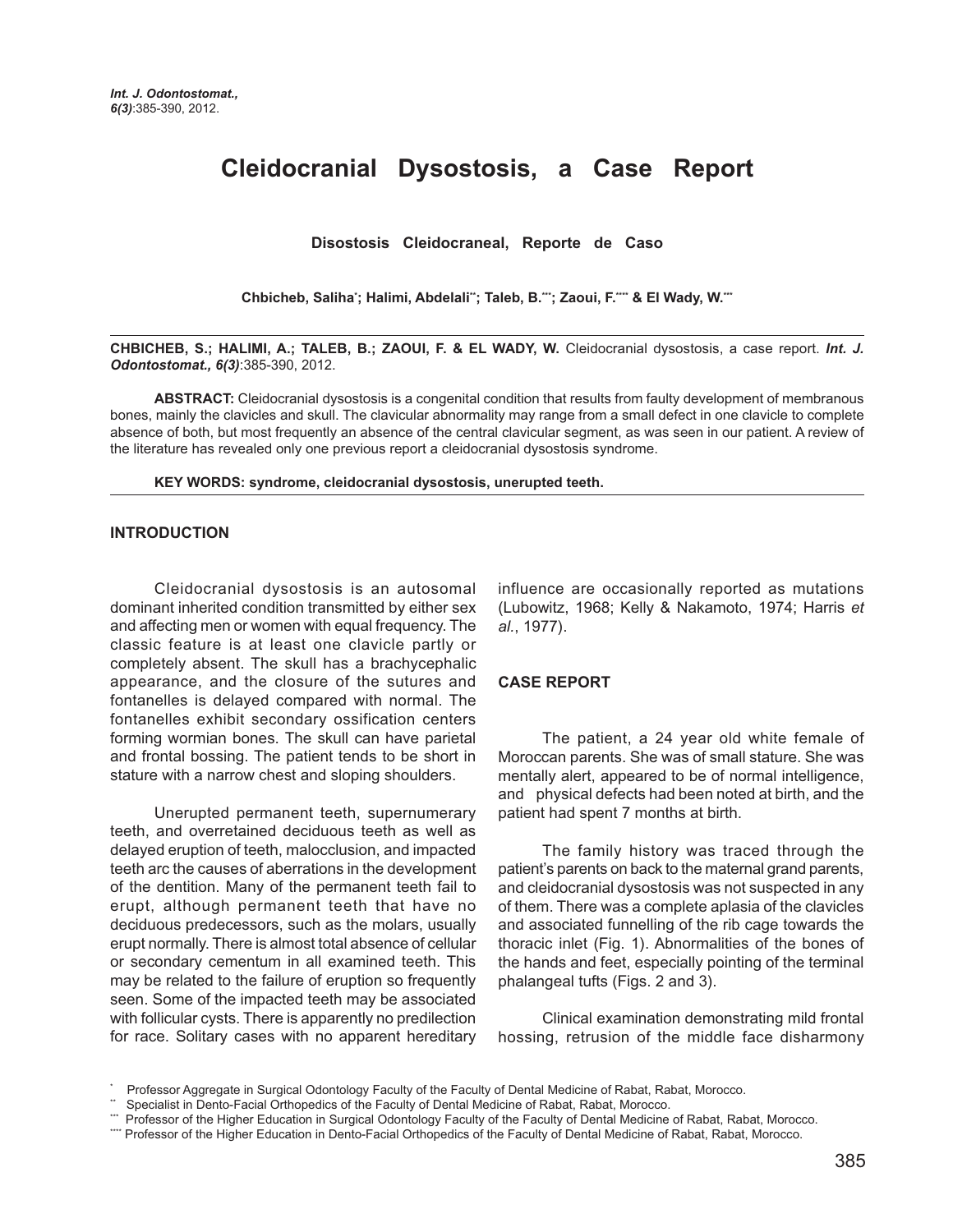# **Cleidocranial Dysostosis, a Case Report**

**Disostosis Cleidocraneal, Reporte de Caso**

Chbicheb, Saliha'; Halimi, Abdelali"; Taleb, B.""; Zaoui, F."" & El Wady, W.""

**CHBICHEB, S.; HALIMI, A.; TALEB, B.; ZAOUI, F. & EL WADY, W.** Cleidocranial dysostosis, a case report. *Int. J. Odontostomat., 6(3)*:385-390, 2012.

**ABSTRACT:** Cleidocranial dysostosis is a congenital condition that results from faulty development of membranous bones, mainly the clavicles and skull. The clavicular abnormality may range from a small defect in one clavicle to complete absence of both, but most frequently an absence of the central clavicular segment, as was seen in our patient. A review of the literature has revealed only one previous report a cleidocranial dysostosis syndrome.

#### **KEY WORDS: syndrome, cleidocranial dysostosis, unerupted teeth.**

#### **INTRODUCTION**

Cleidocranial dysostosis is an autosomal dominant inherited condition transmitted by either sex and affecting men or women with equal frequency. The classic feature is at least one clavicle partly or completely absent. The skull has a brachycephalic appearance, and the closure of the sutures and fontanelles is delayed compared with normal. The fontanelles exhibit secondary ossification centers forming wormian bones. The skull can have parietal and frontal bossing. The patient tends to be short in stature with a narrow chest and sloping shoulders.

Unerupted permanent teeth, supernumerary teeth, and overretained deciduous teeth as well as delayed eruption of teeth, malocclusion, and impacted teeth arc the causes of aberrations in the development of the dentition. Many of the permanent teeth fail to erupt, although permanent teeth that have no deciduous predecessors, such as the molars, usually erupt normally. There is almost total absence of cellular or secondary cementum in all examined teeth. This may be related to the failure of eruption so frequently seen. Some of the impacted teeth may be associated with follicular cysts. There is apparently no predilection for race. Solitary cases with no apparent hereditary influence are occasionally reported as mutations (Lubowitz, 1968; Kelly & Nakamoto, 1974; Harris *et al.*, 1977).

#### **CASE REPORT**

The patient, a 24 year old white female of Moroccan parents. She was of small stature. She was mentally alert, appeared to be of normal intelligence, and physical defects had been noted at birth, and the patient had spent 7 months at birth.

The family history was traced through the patient's parents on back to the maternal grand parents, and cleidocranial dysostosis was not suspected in any of them. There was a complete aplasia of the clavicles and associated funnelling of the rib cage towards the thoracic inlet (Fig. 1). Abnormalities of the bones of the hands and feet, especially pointing of the terminal phalangeal tufts (Figs. 2 and 3).

Clinical examination demonstrating mild frontal hossing, retrusion of the middle face disharmony

<sup>\*</sup> Professor Aggregate in Surgical Odontology Faculty of the Faculty of Dental Medicine of Rabat, Rabat, Morocco.

Specialist in Dento-Facial Orthopedics of the Faculty of Dental Medicine of Rabat, Rabat, Morocco.

<sup>\*\*\*</sup> Professor of the Higher Education in Surgical Odontology Faculty of the Faculty of Dental Medicine of Rabat, Rabat, Morocco.

<sup>\*\*\*\*</sup> Professor of the Higher Education in Dento-Facial Orthopedics of the Faculty of Dental Medicine of Rabat, Rabat, Morocco.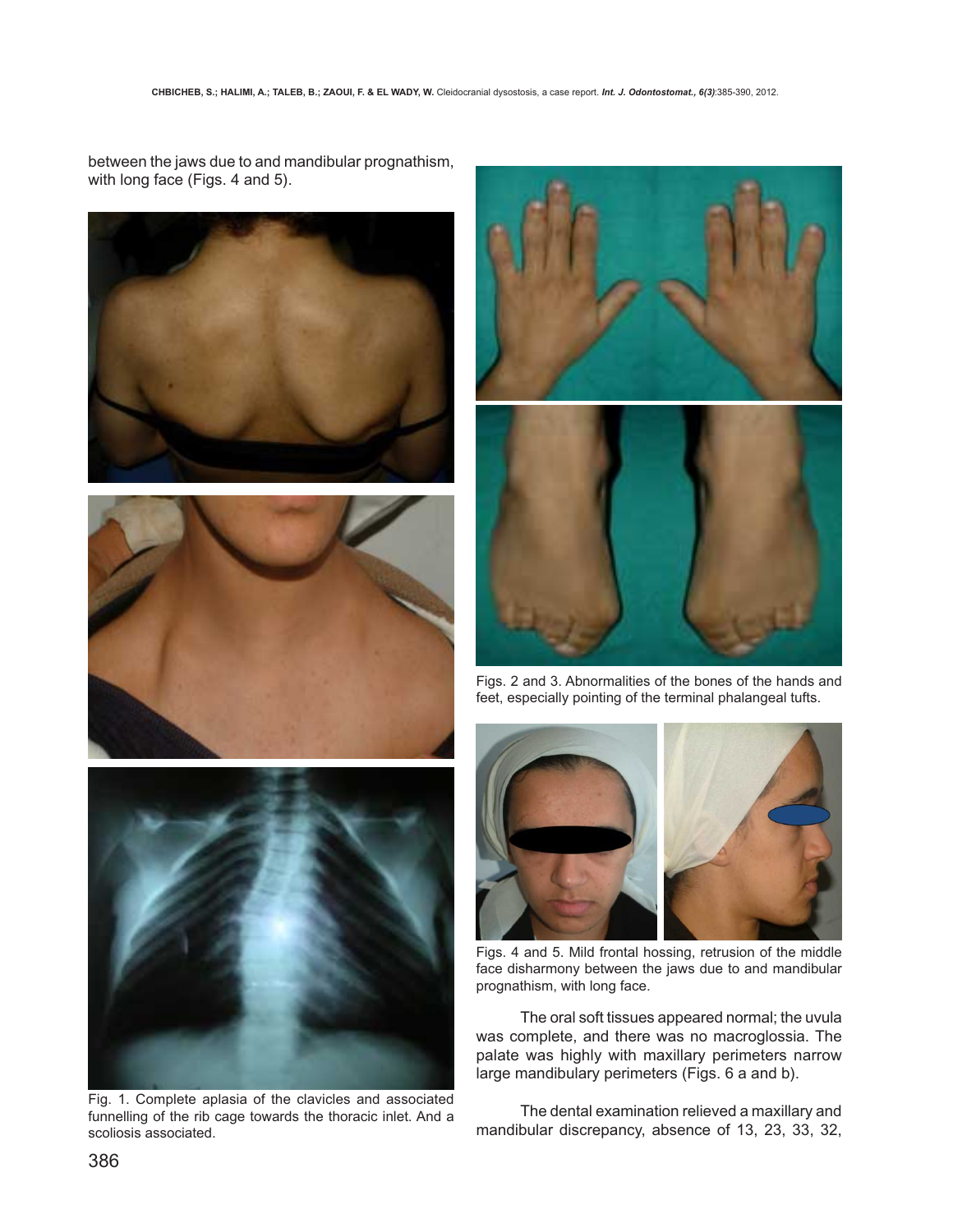between the jaws due to and mandibular prognathism, with long face (Figs. 4 and 5).











Fig. 1. Complete aplasia of the clavicles and associated funnelling of the rib cage towards the thoracic inlet. And a scoliosis associated.



Figs. 4 and 5. Mild frontal hossing, retrusion of the middle face disharmony between the jaws due to and mandibular prognathism, with long face.

The oral soft tissues appeared normal; the uvula was complete, and there was no macroglossia. The palate was highly with maxillary perimeters narrow large mandibulary perimeters (Figs. 6 a and b).

The dental examination relieved a maxillary and mandibular discrepancy, absence of 13, 23, 33, 32,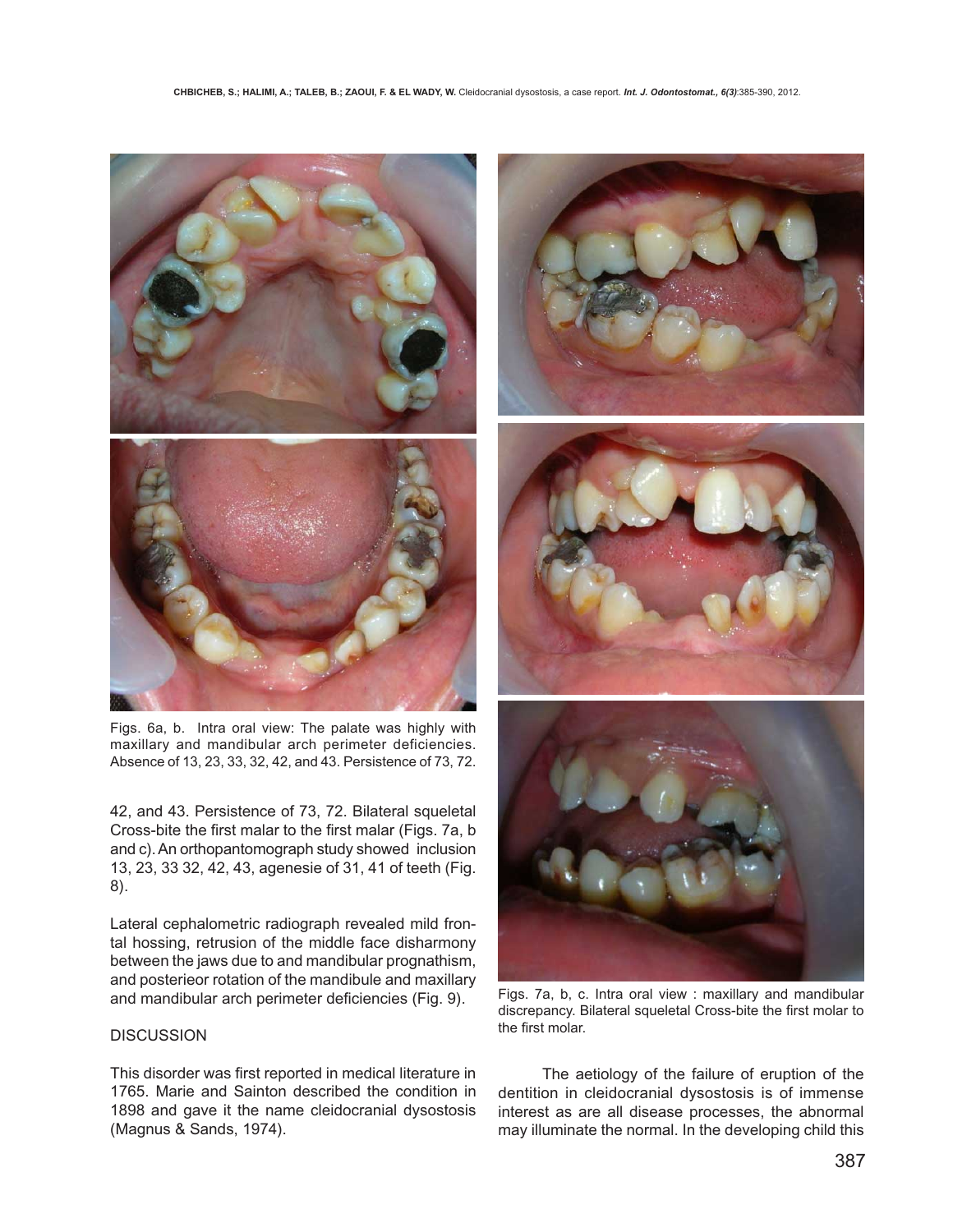

Figs. 6a, b. Intra oral view: The palate was highly with maxillary and mandibular arch perimeter deficiencies. Absence of 13, 23, 33, 32, 42, and 43. Persistence of 73, 72.

42, and 43. Persistence of 73, 72. Bilateral squeletal Cross-bite the first malar to the first malar (Figs. 7a, b and c). An orthopantomograph study showed inclusion 13, 23, 33 32, 42, 43, agenesie of 31, 41 of teeth (Fig. 8).

Lateral cephalometric radiograph revealed mild frontal hossing, retrusion of the middle face disharmony between the jaws due to and mandibular prognathism, and posterieor rotation of the mandibule and maxillary and mandibular arch perimeter deficiencies (Fig. 9).

## **DISCUSSION**

This disorder was first reported in medical literature in 1765. Marie and Sainton described the condition in 1898 and gave it the name cleidocranial dysostosis (Magnus & Sands, 1974).



Figs. 7a, b, c. Intra oral view : maxillary and mandibular discrepancy. Bilateral squeletal Cross-bite the first molar to the first molar.

The aetiology of the failure of eruption of the dentition in cleidocranial dysostosis is of immense interest as are all disease processes, the abnormal may illuminate the normal. In the developing child this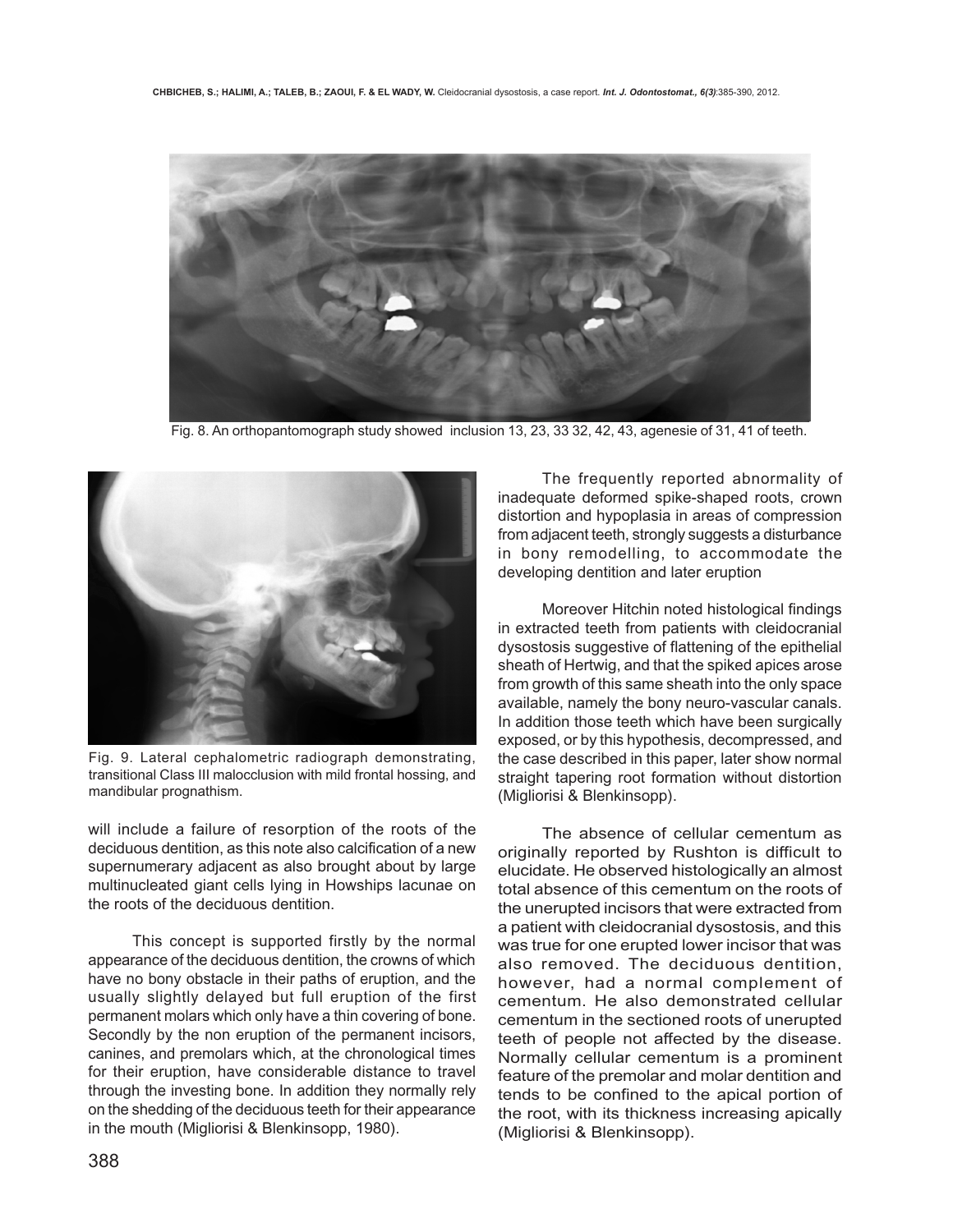

Fig. 8. An orthopantomograph study showed inclusion 13, 23, 33 32, 42, 43, agenesie of 31, 41 of teeth.



Fig. 9. Lateral cephalometric radiograph demonstrating, transitional Class III malocclusion with mild frontal hossing, and mandibular prognathism.

will include a failure of resorption of the roots of the deciduous dentition, as this note also calcification of a new supernumerary adjacent as also brought about by large multinucleated giant cells lying in Howships lacunae on the roots of the deciduous dentition.

This concept is supported firstly by the normal appearance of the deciduous dentition, the crowns of which have no bony obstacle in their paths of eruption, and the usually slightly delayed but full eruption of the first permanent molars which only have a thin covering of bone. Secondly by the non eruption of the permanent incisors, canines, and premolars which, at the chronological times for their eruption, have considerable distance to travel through the investing bone. In addition they normally rely on the shedding of the deciduous teeth for their appearance in the mouth (Migliorisi & Blenkinsopp, 1980).

The frequently reported abnormality of inadequate deformed spike-shaped roots, crown distortion and hypoplasia in areas of compression from adjacent teeth, strongly suggests a disturbance in bony remodelling, to accommodate the developing dentition and later eruption

Moreover Hitchin noted histological findings in extracted teeth from patients with cleidocranial dysostosis suggestive of flattening of the epithelial sheath of Hertwig, and that the spiked apices arose from growth of this same sheath into the only space available, namely the bony neuro-vascular canals. In addition those teeth which have been surgically exposed, or by this hypothesis, decompressed, and the case described in this paper, later show normal straight tapering root formation without distortion (Migliorisi & Blenkinsopp).

The absence of cellular cementum as originally reported by Rushton is difficult to elucidate. He observed histologically an almost total absence of this cementum on the roots of the unerupted incisors that were extracted from a patient with cleidocranial dysostosis, and this was true for one erupted lower incisor that was also removed. The deciduous dentition, however, had a normal complement of cementum. He also demonstrated cellular cementum in the sectioned roots of unerupted teeth of people not affected by the disease. Normally cellular cementum is a prominent feature of the premolar and molar dentition and tends to be confined to the apical portion of the root, with its thickness increasing apically (Migliorisi & Blenkinsopp).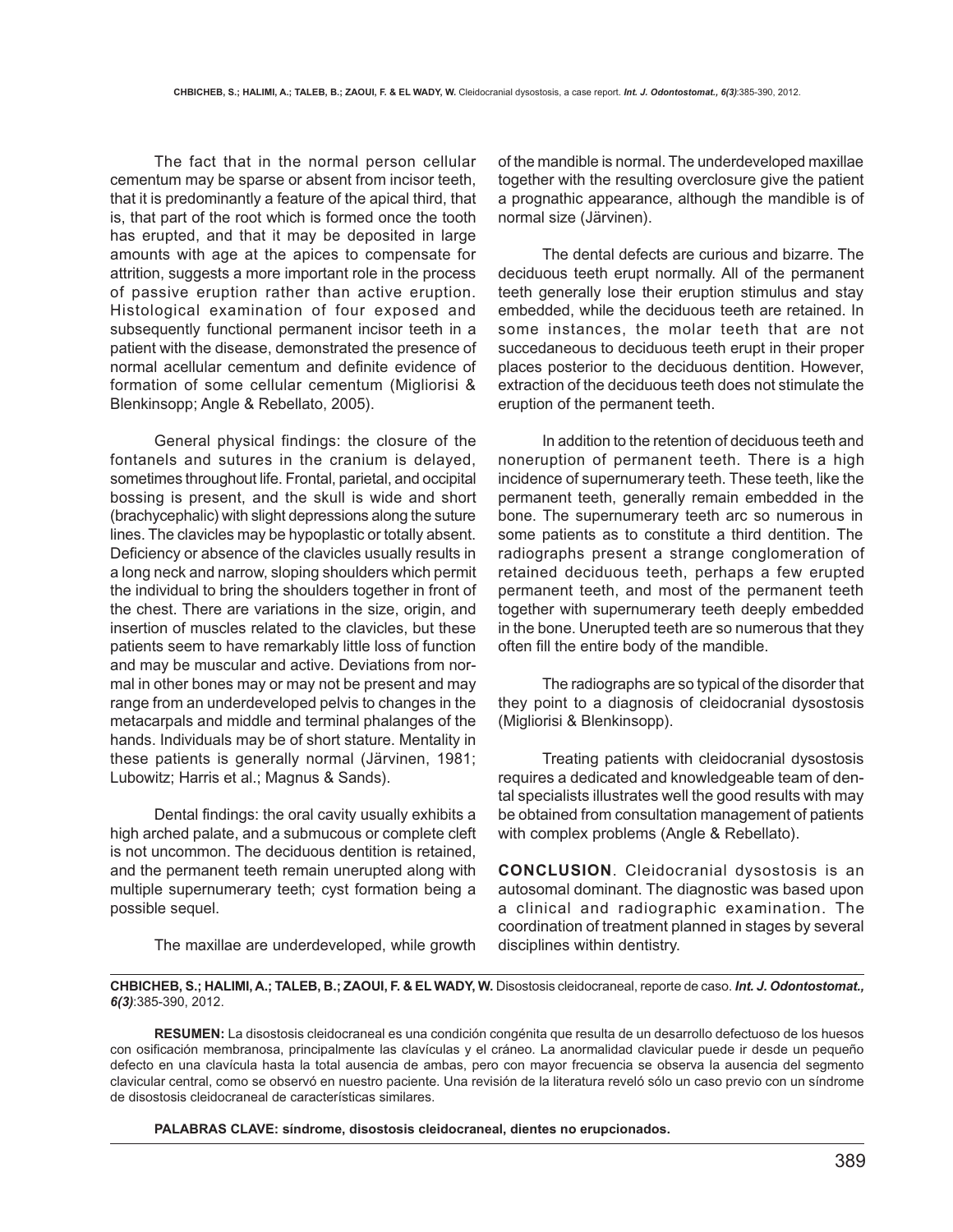The fact that in the normal person cellular cementum may be sparse or absent from incisor teeth, that it is predominantly a feature of the apical third, that is, that part of the root which is formed once the tooth has erupted, and that it may be deposited in large amounts with age at the apices to compensate for attrition, suggests a more important role in the process of passive eruption rather than active eruption. Histological examination of four exposed and subsequently functional permanent incisor teeth in a patient with the disease, demonstrated the presence of normal acellular cementum and definite evidence of formation of some cellular cementum (Migliorisi & Blenkinsopp; Angle & Rebellato, 2005).

General physical findings: the closure of the fontanels and sutures in the cranium is delayed, sometimes throughout life. Frontal, parietal, and occipital bossing is present, and the skull is wide and short (brachycephalic) with slight depressions along the suture lines. The clavicles may be hypoplastic or totally absent. Deficiency or absence of the clavicles usually results in a long neck and narrow, sloping shoulders which permit the individual to bring the shoulders together in front of the chest. There are variations in the size, origin, and insertion of muscles related to the clavicles, but these patients seem to have remarkably little loss of function and may be muscular and active. Deviations from normal in other bones may or may not be present and may range from an underdeveloped pelvis to changes in the metacarpals and middle and terminal phalanges of the hands. Individuals may be of short stature. Mentality in these patients is generally normal (Järvinen, 1981; Lubowitz; Harris et al.; Magnus & Sands).

Dental findings: the oral cavity usually exhibits a high arched palate, and a submucous or complete cleft is not uncommon. The deciduous dentition is retained, and the permanent teeth remain unerupted along with multiple supernumerary teeth; cyst formation being a possible sequel.

of the mandible is normal. The underdeveloped maxillae together with the resulting overclosure give the patient a prognathic appearance, although the mandible is of normal size (Järvinen).

The dental defects are curious and bizarre. The deciduous teeth erupt normally. All of the permanent teeth generally lose their eruption stimulus and stay embedded, while the deciduous teeth are retained. In some instances, the molar teeth that are not succedaneous to deciduous teeth erupt in their proper places posterior to the deciduous dentition. However, extraction of the deciduous teeth does not stimulate the eruption of the permanent teeth.

In addition to the retention of deciduous teeth and noneruption of permanent teeth. There is a high incidence of supernumerary teeth. These teeth, like the permanent teeth, generally remain embedded in the bone. The supernumerary teeth arc so numerous in some patients as to constitute a third dentition. The radiographs present a strange conglomeration of retained deciduous teeth, perhaps a few erupted permanent teeth, and most of the permanent teeth together with supernumerary teeth deeply embedded in the bone. Unerupted teeth are so numerous that they often fill the entire body of the mandible.

The radiographs are so typical of the disorder that they point to a diagnosis of cleidocranial dysostosis (Migliorisi & Blenkinsopp).

Treating patients with cleidocranial dysostosis requires a dedicated and knowledgeable team of dental specialists illustrates well the good results with may be obtained from consultation management of patients with complex problems (Angle & Rebellato).

**CONCLUSION**. Cleidocranial dysostosis is an autosomal dominant. The diagnostic was based upon a clinical and radiographic examination. The coordination of treatment planned in stages by several disciplines within dentistry.

The maxillae are underdeveloped, while growth

**CHBICHEB, S.; HALIMI, A.; TALEB, B.; ZAOUI, F. & EL WADY, W.** Disostosis cleidocraneal, reporte de caso. *Int. J. Odontostomat., 6(3)*:385-390, 2012.

**RESUMEN:** La disostosis cleidocraneal es una condición congénita que resulta de un desarrollo defectuoso de los huesos con osificación membranosa, principalmente las clavículas y el cráneo. La anormalidad clavicular puede ir desde un pequeño defecto en una clavícula hasta la total ausencia de ambas, pero con mayor frecuencia se observa la ausencia del segmento clavicular central, como se observó en nuestro paciente. Una revisión de la literatura reveló sólo un caso previo con un síndrome de disostosis cleidocraneal de características similares.

**PALABRAS CLAVE: síndrome, disostosis cleidocraneal, dientes no erupcionados.**